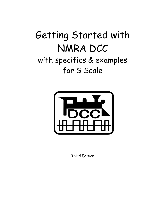# Getting Started with NMRA DCC with specifics & examples for S Scale



Third Edition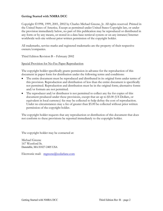#### **Getting Started with NMRA DCC**

Copyright 1998, 1999, 2001, 2002 by Charles Michael Greene, Jr. All rights reserved. Printed in the United States of America. Except as permitted under United States Copyright law, or under the provision immediately below, no part of this publication may be reproduced or distributed in any form or by any means, or stored in a data base retrieval system or on any intranet/Internet worldwide web site without prior written permission of the copyright holder.

All trademarks, service marks and registered trademarks are the property of their respective owners/companies.

Third Edition Revision B – February 2002

Special Provision for No-Fee Paper Reproduction

The copyright holder specifically grants permission in advance for the reproduction of this document in paper form for distribution under the following terms and conditions:

- The entire document must be reproduced and distributed in its original form under terms of this provision. Reproduction and distribution of less than the entire document is specifically not permitted. Reproduction and distribution must be in the original form; alternative forms and/or formats are not permitted.
- The reproducer and/or distributor is not permitted to collect any fee for copies of this document produced under these provisions, except that an up to \$5.00 (US Dollars, or equivalent in local currency) fee may be collected to help defray the cost of reproduction. Under no circumstances may a fee of greater than \$5.00 be collected without prior written permission of the copyright holder.

The copyright holder requests that any reproduction or distribution of this document that does not conform to these provisions be reported immediately to the copyright holder.

The copyright holder may be contacted at:

Michael Greene 167 Westford St. Dunstable, MA 01827-2405 USA

Electronic mail: mgreene@cedarlane.com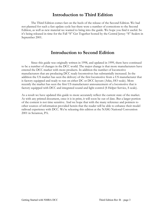### **Introduction to Third Edition**

The Third Edition comes fast on the heels of the release of the Second Edition. We had not planned for such a fast update cycle but there were a number of corrections to the Second Edition, as well as new material we wanted to bring into the guide. We hope you find it useful. So it's being released in time for the Fall "S" Get Together hosted by the Central Jersey "S" Scalers in September 2001.

### **Introduction to Second Edition**

Since this guide was originally written in 1998, and updated in 1999, there have continued to be a number of changes in the DCC world. The major change is that more manufacturers have entered the DCC market with more products. In addition the number of locomotive manufacturers that are producing DCC ready locomotives has substantially increased. In the addition the US market has seen the delivery of the first locomotive from a US manufacturer that is factory equipped and ready to run on either DC or DCC layouts (Atlas, HO scale). More recently the market has seen the first US manufacturer announcement of a locomotive that is factory equipped with DCC and integrated sound and light control (S Helper Service, S scale).

As a result we have updated this guide to more accurately reflect the current state of the market. As with any printed document, once it is in print, it will soon be out of date. But a larger portion of the content is not time sensitive. And we hope that with the many reference and pointers to other sources of information provided herein that the reader will be able to enhance their model railroad experience with DCC. We're releasing this edition at the NASG National Convention 2001 in Scranton, PA.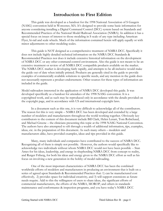### **Introduction to First Edition**

This guide was developed as a handout for the 1998 National Association of S Gaugers (NASG) convention held in Worcester, MA. It's designed to provide some basic information for anyone considering installing a Digital Command Control (DCC) system based on Standards and Recommended Practices of the National Model Railroad Association (NMRA). In addition it has a special focus on issues of interest to those modeling in S scale of any type including American Flyer, hi-rail and scale wheels. Much of the information contained herein will apply equally or with minor adjustments to other modeling scales.

 This guide is NOT designed as a comprehensive treatment of NMRA DCC. Specifically it does not include highly detailed technical information on the NMRA DCC Standards & Recommended Practices nor does it include extensive historical information on the development of NMRA DCC or any other command control environment. Also the guide is not meant to be an extensive treatment or review of all NMRA DCC compatible products available on the market. The NMRA DCC market is developing fairly rapidly, and attempts to be all-inclusive would make the guide out of date when initially printed. Products are generally cited in the guide to provide examples of commercially available solutions to specific needs, and any mention in the guide does not necessarily represent a product endorsement. Other sources for these types of information are included in the guide.

Model railroaders interested in the application of NMRA DCC developed this guide. It was developed specifically as a handout for attendees of the 1998 NASG convention. It is a copyrighted work, and as such may be reproduced only in accordance with the details provided on the copyright page, and in accordance with US and international copyright laws.

In a document such as this one, it is very difficult to acknowledge all of the contributors. The reason for this is very simple – NMRA DCC has been developed and extended by a large number of modelers and manufacturers throughout the world working together. Obviously key contributors to the content of this document include Bill Clark, Helen Lenart, Tom Robichaud, and Michael Greene – the clinicians presenting this topic at the 1998 NASG National Convention. The authors have also attempted to sift through a wealth of additional information, tips, examples, ideas, etc. in the preparation of this document. As such many others – modelers and manufacturers alike, have provided examples, ideas and tips provided in this guide.

Many, many individuals and companies have contributed to the success of NMRA DCC. Recognizing all of them is simply not possible. However, the authors would specifically like to acknowledge two individuals without whom NMRA DCC would not have been possible -- Stan Ames for his ideas, leadership, and energy in shepherding NMRA DCC from concept to reality, and Rutger Friberg, for both his ideas and energy given to the NMRA DCC effort as well as his focus on involving a new generation in the hobby of model railroading.

One of the most important characteristics of NMRA DCC has been the combined worldwide efforts of modelers and manufacturers in producing an environment that is built on a series of agreed upon Standards & Recommended Practices that: 1) can be manufactured cost effectively, 2) provides space for individual creativity, and 3) will support extensions as future needs require. Add to this the willingness of users to share ideas, the significant efforts of commercial manufacturers, the efforts of the NMRA, MOROP, and others in standards maintenance and conformance & inspection programs, and you have today's NMRA DCC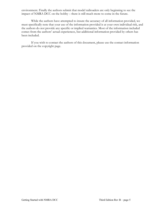environment. Finally the authors submit that model railroaders are only beginning to see the impact of NMRA DCC on the hobby – there is still much more to come in the future.

While the authors have attempted to insure the accuracy of all information provided, we must specifically note that your use of the information provided is at your own individual risk, and the authors do not provide any specific or implied warranties. Most of the information included comes from the authors' actual experiences, but additional information provided by others has been included.

If you wish to contact the authors of this document, please use the contact information provided on the copyright page.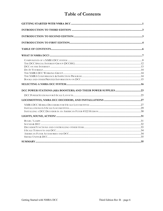# **Table of Contents**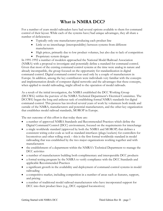# **What is NMRA DCC?**

For a number of years model railroaders have had several options available to them for command control of their layout. While each of the systems have/had unique advantages, they all share a number of deficiencies:

- Typically only one manufacturer producing each product line
- Little or no interchange (interoperability) between systems from different manufacturers
- High prices, primarily due to low product volumes, but also due to lack of competition
- Proprietary system designs

In 1991-1992 a number of modelers approached the National Model Railroad Association (NMRA) with a proposal to investigate and potentially define a standard for command control. Given that most of the existing command control systems at the time were analog in nature and already incompatible, the group focused on the opportunity for standardization in digital command control. Digital command control was used only by a couple of manufacturers in Europe. In addition, among the key contributors were individuals very familiar with the concepts and implementation details of computer digital networks and the advantages that these concepts, when applied to model railroading, might afford to the operation of model railroads.

As a result of the initial investigation, the NMRA established the DCC Working Group (DCCWG) within the purview of the NMRA Technical Department's Electrical Committee. The DCCWG began the long and arduous task of establishing formal NMRA standards for digital command control. This process has involved several years of work by volunteers both inside and outside of the NMRA, manufacturers and potential manufacturers, and the other key organization that establishes model railroad standards, MOROP in Europe.

The net outcome of this effort is that today there are:

- a number of approved NMRA Standards and Recommended Practices which define the Digital Command Control (DCC) environment, focused on the requirements for interchange
- a single worldwide standard (approved by both the NMRA and MOROP) that defines a consistent wiring color code as well as standard interfaces (plugs/sockets) for controllers for locomotives and other rolling stock – this is the first formal worldwide standard in model railroading that was established by the two major organizations working together and with manufacturers
- the establishment of a department within the NMRA's Technical Department to manage the DCC activities
- a number of manufacturers building both complimentary and interoperable DCC products
- a formal testing program by the NMRA to verify compliance with the DCC Standards and applicable Recommended Practices
- a significant growth in the availability and deployment of command control systems in model railroading
- a competitive market, including competition in a number of areas such as features, support, and pricing
- a number of traditional model railroad manufacturers who have incorporated support for DCC into their product lines (e.g., DCC equipped locomotives)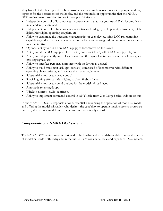Why has all of this been possible? It is possible for two simple reasons – a lot of people working together for the betterment of the hobby, and the multitude of opportunities that the NMRA DCC environment provides. Some of these possibilities are:

- Independent control of locomotives control your trains, not your track! Each locomotive is independently addressed
- Independent control of functions in locomotives headlight, backup light, smoke unit, ditch lights, Mars light, operating couplers, etc.
- Ability to customize the operating characteristics of each device, using DCC programming capabilities, and store the characteristics in the locomotive – e.g., adding momentum or inertia to a locomotive
- Optional ability to run a non-DCC equipped locomotive on the layout
- Ability to take a DCC equipped loco from your layout to any other DCC equipped layout
- Ability to independently control accessories on the layout like turnout switch machines, grade crossing signals, etc.
- Ability to interface personal computers with the layout as desired
- Ability to build multi-unit lash-ups (consists) composed of locomotives with different operating characteristics, and operate them as a single train
- Substantially improved speed control
- Special lighting effects Mars lights, strobes, firebox flicker
- Substantially improved sound options for the model railroad layout
- Automatic reversing loops
- Wireless controls (radio & infrared)
- Ability to implement command control in ANY scale from Z to Large Scales, indoors or out

In short NMRA DCC is responsible for substantially advancing the operation of model railroads, and offering the model railroader, who desires, the capability to operate much closer to prototype practice, all at a price model railroaders can more realistically afford.

### **Components of a NMRA DCC system**

The NMRA DCC environment is designed to be flexible and expandable – able to meet the needs of model railroads both today and in the future. Let's consider a basic and expanded DCC system.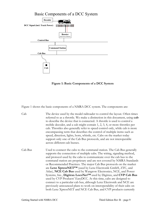### Basic Components of a DCC System



**Figure 1: Basic Components of a DCC System** 

Figure 1 shows the basic components of a NMRA DCC system. The components are:

| Cab | The device used by the model railroader to control the layout. Often times   |
|-----|------------------------------------------------------------------------------|
|     | referred to as a throttle. We make a distinction in this document, using cab |
|     | to describe the device that is connected. A throttle is used to control a    |
|     | mobile decoder, and a cab might contain 1, 2, 3, 4, or more throttles per    |
|     | cab. Throttles also generally refer to speed control only, while cab is more |
|     | encompassing term that describes the control of multiple items such as       |
|     | speed, direction, lights, horn, whistle, etc. Cabs on the market today       |
|     | support only one of the Cab Bus protocols, and are not interoperable         |
|     | across different cab busses.                                                 |

Cab Bus Used to connect the cabs to the command station. The Cab Bus generally supports the connection of multiple cabs. The wiring, signaling method, and protocol used by the cabs to communicate over the cab bus to the command station are proprietary and are not covered by NMRA Standards or Recommended Practices. The major Cab Bus protocols on the market are **Lenz XpressNET™** (used by Lenz Electronik GmbH, ZTC, and Atlas), **NCE Cab Bus** used by Wangrow Electronics, NCE, and Power Systems, Inc., **Digitrax LocoNet™** used by Digitrax, and **CVP Cab Bus** used by CVP Products' EasyDCC. At this time, cabs are designed to connect to a particular cab bus, although Lenz Electronik and NCE are previously announced plans to work on interoperability of their cabs on both Lenz XpressNET and NCE Cab Bus, and CVP products currently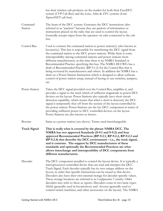|                     | has their wireless cab products on the market for both their EasyDCC<br>system (CVP Cab Bus) and the Lenz, Atlas & ZTC systems (Lenz<br>XpressNET cab bus).                                                                                                                                                                                                                                                                                                                                                                                                                                                                                                                                                                                               |
|---------------------|-----------------------------------------------------------------------------------------------------------------------------------------------------------------------------------------------------------------------------------------------------------------------------------------------------------------------------------------------------------------------------------------------------------------------------------------------------------------------------------------------------------------------------------------------------------------------------------------------------------------------------------------------------------------------------------------------------------------------------------------------------------|
| Command<br>Station  | The heart of the DCC system. Generates the DCC instructions (also<br>referred to as "packets" because they are packets of information or<br>instructions placed on the rails) that are used to control the layout.<br>Generally accepts input from the operator via cabs connected to the cab<br>bus.                                                                                                                                                                                                                                                                                                                                                                                                                                                     |
| <b>Control Bus</b>  | Used to connect the command station to power station(s) (also known as<br>booster(s)). This bus is responsible for transferring the DCC signal from<br>the command station to the DCC power stations. While there is some<br>interoperability among command stations and power stations from<br>different manufacturers, at this time there is no NMRA Standard or<br>Recommended Practice specifying this bus. The NMRA DCCWG has a<br>draft of Recommended Practice (RP-9.1.2) for the Control Bus that is<br>being reviewed by manufacturers and others. In addition the NMRA has a<br>draft on a Power Station Instruction which is designed to allow software<br>control of power station setup, instead of having to use switches, jumpers,<br>etc. |
| Power Station       | Takes the DCC signal provided over the Control Bus, amplifies it, and<br>provides a signal to the track which of sufficient magnitude to power DCC<br>devices on the layout. Power Stations also typically have short circuit<br>detection capability, which means that when a short is detected, the DCC<br>signal is temporarily shut off from the section of the layout controlled by<br>the power station. Power Stations are the key DCC component in terms of<br>providing sufficient power to DCC controlled devices on the layout.<br>Power Stations are also known as <i>boosters</i> .                                                                                                                                                          |
| <b>Booster</b>      | Same as a power station (see above). Terms used interchangeably.                                                                                                                                                                                                                                                                                                                                                                                                                                                                                                                                                                                                                                                                                          |
| <b>Track Signal</b> | This is really what is covered by the phrase NMRA DCC. The<br>NMRA has two approved Standards (S-9.1 and S-9.2) and four<br>approved Recommended Practices (RP-9.2.1, RP-9.2.2, RP-9.2.3 and<br>$RP-9.2.4$ ) that describe the DCC environment $-$ i.e., the track signal,<br>and it contents. The support by DCC manufacturers of these<br>standards and optionally the Recommended Practices are what<br>allows interchange and interoperability of DCC components from<br>different manufacturers.                                                                                                                                                                                                                                                     |
| Decoder             | The DCC component installed to control the layout device. It is typically a<br>microprocessor-controlled device that can read and interpret the DCC<br>Track Signal. Each decoder typically has its own unique address on the<br>layout, in order that specific instructions can be issued to that device.<br>Decoders also have their own internal storage for decoder specific values.<br>These storage locations are referred to as <i>Configuration Variables</i> . Older<br>decoders may refer to these as registers. Decoders come in two basic types:<br>Mobile (generally used in locomotives) and Accessory (generally used to<br>control switch machines, and other accessories on the layout). The NMRA                                        |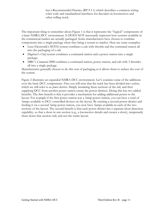has a Recommended Practice (RP-9.1.1) which describes a common wiring color code and standardized interfaces for decoders in locomotives and other rolling stock.

The important thing to remember about Figure 1 is that it represents the "logical" components of a basic NMRA DCC environment. It DOES NOT necessarily represent how systems available in the commercial market are actually packaged. Some manufacturers have chosen to combine components into a single package when they bring a system to market. Here are some examples:

- Lenz Electronik's SET02 system combines a cab with throttle and the command station all into the packaging of a cab
- Digitrax's *Chief* system combines a command station and a power station into a single package.
- MRC's *Command 2000* combines a command station, power station, and cab with 3 throttles all into a single package.

Manufacturers generally choose to do this sort of packaging as it allows them to reduce the cost of the system.

Figure 2 illustrates an expanded NMRA DCC environment. Let's examine some of the additions over the basic DCC components. First you will note that the track has been divided into *sections*, which we will refer to as *power districts.* Simply insulating these sections of the rail, and then supplying DCC from another power station create the power districts. Doing this has two added benefits. The first benefit is that it provides a mechanism for adding additional power to the layout. For example if the first power station was a 3amp power station, you can have a total of 3amps available to DCC controlled devices on the layout. By creating a second power district and feeding it via a second 3amp power station, you now have 3amps available in each of the two sections of the layout. The second benefit is that each power district has a separate short detection capability, so that a short in one section (e.g., a locomotive derails and creates a short), temporarily shuts down that section only and not the entire layout.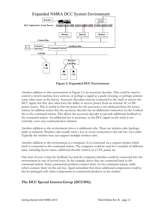

**Figure 2: Expanded DCC Environment** 

Another addition to this environment in Figure 2 is an accessory decoder. This could be used to control a switch machine for a turnout, or perhaps a signal at a grade crossing, or perhaps animate some other item on the layout. Accessory decoders must be connected to the track to receive the DCC signal, but they also often have the ability to receive power from an external AC or DC power source. This is useful in that the power for the accessory is not deducted from the power station. In addition notice that the accessory decoder has an additional connection via the *Feedback Bus* to the command station. This allows the accessory decoder to provide additional feedback to the command station. An additional bus is necessary, as the DCC signal on the track is not currently a two-way communication channel.

Another addition to the environment above is additional cabs. These are wireless cabs (perhaps radio or infrared). Wireless cabs usually need a *base* or *receiver* connected to the cab bus via a cable. Typically the wireless base can support multiple wireless cabs.

Another addition to the environment is a computer. It is connected via a *computer interface* which itself is connected to the command station. The computer could be used for a number of different tasks, including layout status, additional throttle control, as a CTC panel, etc.

One item of note is that the feedback bus and the computer interface could be connected into the environment in one of several ways. In the example above they are connected back to the command station. Some commercial products connect them via the command station, while others connect them via the cab bus. Again remember that these additional components could in fact be packaged with other components in commercial products on the market.

### **The DCC Special Interest Group (DCCSIG)**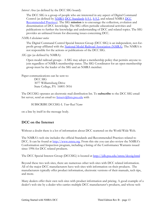*Interest Area* (as defined by the DCC SIG board):

The DCC SIG is a group of people who are interested in any aspect of Digital Command Control (as defined by NMRA DCC Standards S-9.1, S-9.2, and related NMRA DCC Recommended Practices). The SIG **mission** is to encourage the collection, evolution and dissemination of DCC knowledge. The SIG offers periodic educational activities and publications to further the knowledge and understanding of DCC and related topics. The SIG provides an unbiased forum for discussing issues concerning DCC.

#### *NMRA disclaimer notice*

The Digital Command Control Special Interest Group (DCC SIG) is an independent, not-forprofit group affiliated with the National Model Railroad Association (NMRA). The NMRA is not responsible for the actions or publications of the DCC SIG.

*SIG type* (as defined by NMRA):

Open model railroad groups - A SIG may adopt a membership policy that permits anyone to join regardless of NMRA membership status. The SIG Coordinator for an open-membership group must be the leader of the SIG and an NMRA member.

Paper communications can be sent to: DCC SIG 3077 Williamsburg Drive State College, PA 16801-3016

The DCCSIG operates an electronic mail distribution list. To **subscribe** to the DCC SIG email list server, send an email to: *listserv@lists.psu.edu* with

SUBSCRIBE DCCSIG-L *Your Real Name*

on a line by itself in the message body.

### **DCC on the Internet**

Without a doubt there is a lot of information about DCC scattered on the World Wide Web.

The NMRA's web site includes the official Standards and Recommended Practices related to DCC. It can be found at http://www.nmra.org. From this site you can also review the NMRA's Conformation and Inspection program, including a listing of the Conformance Warrants issued since 1996 for DCC related products.

The DCC Special Interest Group (DCCSIG) is located at http://jdb.psu.edu/nmra/dccsig.html

Beyond these two web sites, there are numerous other web sites with DCC related information. All of the major DCC manufacturers have web sites with information on their products. The manufacturers typically offer product information, electronic versions of their manuals, tech tips, and more.

Many dealers offer their own web sites with product information and pricing. A good example of a dealer's web site by a dealer who carries multiple DCC manufacturer's products, and whose web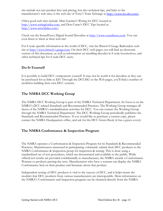site include not just product lists and pricing, but also technical tips, and links to the manufacturer's web sites, is the web site of Tony's Train Xchange at http://www.ttx-dcc.com/.

Other good web sites include Allan Gartner's Wiring for DCC located at http://www.wiringfordcc.com, and Don Crano's DCC Tips located at http://www.mrwithdcc.com/.

Check out the SoundTraxx Digital Sound Decoders at http://www.soundtraxx.com. You can even listen to them at their web site!

For S scale specific information in the world of DCC, visit the Bristol S Gauge Railroaders web site at http://www.bristol-s-gauge.com. On their DCC web pages you will find an electronic version of this document, as well as information on installing decoder in S scale locomotives, and other technical tips for S scale DCC users.

### **Do-It-Yourself**

It is possible to build DCC components yourself. It may not be worth it for decoders as they can be purchased for as little as \$20. Through the DCCSIG or the Web pages, you'll find a number of modelers building their own DCC systems.

### **The NMRA DCC Working Group**

The NMRA DCC Working Group is part of the NMRA Technical Department. Its focus is on the NMRA's DCC related Standards and Recommended Practices. The Working Group manages all facets of the NMRA's standardization activities for DCC. You can contact the Working Group through the NMRA Technical Department. The DCC Working Group periodically publishes the Standards and Recommended Practices. If you would like to purchase a current copy, please contact the NMRA Headquarters office, and ask for the DCC Green Book (it has a green cover).

### **The NMRA Conformance & Inspection Program**

The NMRA operates a Conformation & Inspection Program for its Standards & Recommended Practices. Manufacturers interested in participating voluntarily submit their DCC products to the NMRA Conformance & Inspection group for inspection & testing. This is done using a standardized set of test procedures, which are documented and available to the public. While official test results are provided confidentially to manufacturer, the NMRA awards a Conformance Warrant to products passing the tests. Manufacturers who have a warrant can display the NMRA Conformance Seal on their product and literature about that product.

Independent testing of DCC products is vital to the success of DCC, and it helps insure the modeler that DCC products from various manufacturers are interoperable. More information on the NMRA's Conformance and Inspection program can be obtained directly from the NMRA.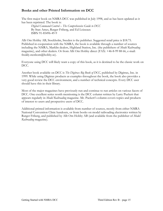### **Books and other Printed Information on DCC**

The first major book on NMRA DCC was published in July 1998, and as has been updated as it has been reprinted. The book is:

*Digital Command Control – The Comprehensive Guide to DCC*  By Stan Ames, Rutger Friberg, and Ed Loizeaux ISBN 91-85496-49-9

Allt Om Hobby AB, Stockholm, Sweden is the publisher. Suggested retail price is \$18.75. Published in cooperation with the NMRA, the book is available through a number of sources including the NMRA, Marklin dealers, Highland Station, Inc. (the publishers of *Model Railroading* magazine), and other dealers. Or from Allt Om Hobby direct (FAX: +46-8-99 88 66, e-mail: freddy.stenbom@hobby.se).

Everyone using DCC will likely want a copy of this book, as it is destined to be the classic work on DCC.

Another book available on DCC is *The Digitrax Big Book of DCC,* published by Digitrax, Inc. in 1999. While using Digitrax products as examples throughout the book, the book also provides a very good review the DCC environment, and a number of technical concepts. Every DCC user should have this in their library.

Most of the major magazines have previously run and continue to run articles on various facets of DCC. One excellent series worth mentioning is the DCC column written by Larry Puckett that appears regularly in *Model Railroading* magazine. Mr. Puckett's column covers topics and products of interest to users and prospective users of DCC.

Additional printed information is available from number of sources, mostly from either NMRA National Convention Clinic handouts, or from books on model railroading electronics written by Rutger Friberg, and published by Allt Om Hobby AB (and available from the publisher of *Model Railroading* magazine).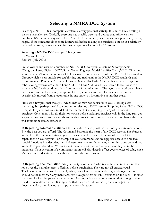# **Selecting a NMRA DCC System**

Selecting a NMRA DCC compatible system is a very personal activity. It is much like selecting a car or a television set. Typically everyone has specific tastes and desires that influence their purchase. It's the same way with DCC. Also like these other types of consumer purchases, its very helpful if the consumer does some homework before making the purchase. Since it is a relatively personal decision, below you will find some tips on selecting a DCC system.

#### **Selecting a NMRA DCC compatible system**

By Michael Greene Rev: 10 (July 2001)

I'm an owner and user of a number of NMRA DCC compatible systems & components (Wangrow, Lenz, Digitrax, NCE, SoundTraxx, Digitoys, Model Rectifier Corp.(MRC), Zimo and some others). Also in the interest of full disclosure, I'm a past chair of the NMRA's DCC Working Group, which is responsible for establishing and maintaining the NMRA DCC standards and Recommended Practices. At home, I have a Digitrax 8A Radio Chief with a variety of Digitrax cabs, a Wangrow System One, a Lenz SET01, a Lenz SET02, a NCE PowerHouse Pro with a variety of NCE cabs, and decoders from most of manufacturers. The layout and workbench have been wired so that I can easily swap one DCC system for another. Decoders with plugs are occasionally moved from a locomotive in one scale to a locomotive in another scale.

Here are a few personal thoughts, which may or may not be useful to you. Nothing earth shattering, but perhaps useful to consider in selecting a DCC system. Shopping for a NMRA DCC compatible system for your model railroad is much like shopping for any other consumer purchase. Consumers who do their homework before making a purchase will, in the long run, get a system more suited to their needs and wishes. As with most other consumer purchases, the user will avoid unnecessary expenses.

1) **Regarding command stations**: List the features, and prioritize the ones you care most about. Buy the best you can afford. The Command Station is the heart of any DCC system. The features available in the command station you select will enable or restrict the use of certain DCC capabilities on your layout. For example, if your command station supports access to only two special functions in a decoder, then it doesn't really matter how many more functions beyond two available in your decoders. Without a command station that can access them, they won't be of much use! Your selection of a command station will also directly affect your choices of cabs, since it's the command station that establishes your cab bus protocol.

2) **Regarding documentation**: Are you the type of person who reads the documentation? If so look over the manufacturers' offerings before purchasing. They are not all created equal. Thickness is not the correct metric. Quality, ease of access, good indexing, and organization should be the metrics. Many manufacturers have put Acrobat PDF versions on the Web -- look at these and look at the paper documentation. Get input from existing users on their thoughts about the documentation on the DCC systems that they own. Of course if you never open the documentation, then it is not an important consideration.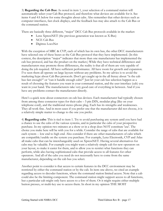3) **Regarding the Cab Bus:** As noted in item 1, your selection of a command station will automatically select your Cab Bus protocol, and therefore what devices are available for it. See items 4 and 4A below for some thoughts about cabs. Also remember that other devices such as computer interfaces, fast clock displays, and the feedback bus may also attach to the Cab Bus or the command station.

There are basically three different, "major" DCC Cab Bus protocols available in the market:

- Lenz XpressNET (the previous generation was known as X-Bus)
- NCE Cab Bus
- Digitrax LocoNet

With the exception of MRC & CVP, each of which has its own bus, the other DCC manufacturers have selected one of these buses as the Cab Bus protocol that they have implemented. (In this context, the description "major" indicates that more than one manufacturer has implemented the cab bus protocol, and has the product on the market.) While they have technical differences and manufacturers may promote those differences, the reality is that all of them are very capable of doing the job required. All have sufficient performance. All have room for growth and expansion. I've seen them all operate on large layouts without any problems. So my advice is to avoid the marketing hype about Cab Bus protocols. Don't get caught up in the all frenzy about "is the cab bus fast enough?" or "can it handle enough cabs?" Just let your cab bus selection happen as a result of choosing the features you want in your command station, and the user interface (cab) you want in your hand. The manufacturers take very good care of everything in between. And if you have any problems contact the manufacturer directly.

Here's a quick note about connectors on cab bus devices. Each manufacturer had typically chosen from among three connector types for their cabs – 5 pin DIN, modular plug (like on your telephone cord), and the traditional stereo phone plug. Each has its strengths and weaknesses. They all work fine. And in most cases if you prefer one that the manufacturer did not choose, it is a relatively simple matter to change to the one you prefer.

4) **Regarding cabs**: This is tied to item 1. Try to avoid purchasing any system until you have had a chance to use the cabs of the various systems, and in particular the cabs of your prospective purchase. In my opinion two minutes at a show or in a shop does NOT constitute 'use'. The choice you make here will be with you for a while. Consider the range of cabs that are available for each system -- low end to high end. Also consider if there are other manufacturers of cabs which are compatible/usable on the system you purchase. For example, Lenz Electronik, CVP and Atlas all make cabs that can be interchangeably used on XpressNET. Having several alternatives for cabs may be valuable. For example you might want a relatively simple cab for new operators on your layout, to make it easier for them, and to allow you to restrict what functions they can perform, while also having sophisticated cabs that provide access to all features for other operators. And all of the cabs you need do not necessarily have to come from the same manufacturer, depending on the cab bus you select.

Another point to consider is that access to certain features in the DCC environment may be restricted by either the command station or by the cab. In item one above, we cited an example regarding access to decoder functions, where the command station limited access. Note that a cab could also be the limiting component. The command station might support access to all functions, but a particular cab might only have access to a few of them. Or it might require either multiple button presses, or multi-key use to access them. In short in my opinion THE MOST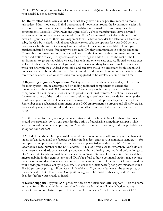IMPORTANT single criteria for selecting a system is the cab(s) and how they operate. Do they fit your needs? Do they fit your style?

4A) **Re: wireless cabs**: Wireless DCC cabs will likely have a major positive impact on model railroaders. Many modelers will find operation and movement around the layout much easier with wireless cabs. At this time, wireless cabs are available on the market for four major cab bus environments (LocoNet, CVP, NCE and XpressNET). Three manufacturers have delivered wireless cabs, and others have announced plans. If you're interested in wireless cabs and don't have an urgent desire for them, you may want to wait a bit to consider the selections. Like wired cabs, the Cab Bus selection will dictate which wireless cabs are options for your DCC system. Even so, each cab bus protocol may have several wireless cab options available. Should you purchase infrared or radio frequency wireless cabs? Do they communicate in a single direction (from cab to command station, but not back) or in both directions (cab to command station, and command station to cab). Today's wireless cab offerings will add \$175+ to the cost of the DCC environment to get started with a wireless base unit and one wireless cab. Additional wireless cabs will add to this cost. So consider if you really need wireless. Many folks with smaller layouts can work just fine with the standard wired cabs, and can save the \$175+ necessary for this item, and use it somewhere else on the railroad. Keep in mind that the available or announced wireless cabs can either be added later, or wired cabs can be upgraded to be wireless at some future time.

5) **Regarding upgrades/expansions**: Most systems are expandable to some degree Expansions for most systems can be accomplished by adding additional components to extend the functionality of the initial DCC environment. Another approach is to upgrade the software component of a command station or cab to provide additional features. You should check with the manufacturers of the products you are considering to see how they provide feature upgrades. In addition you should check to see how the manufacturer would provide bug fixes when found. Remember that a substantial component of the DCC environment is software and all software has errors – they may not be critical, and they may not affect your use of the product, but they do exist!

Also the market for used, working command stations & attachments (at a less than retail price) should be reasonable, so you can consider the option of purchasing something, using it a while, and then re-sale. Very few people buy 'used' decoders from what I can see, so this is probably not an option for decoders.

6) **Mobile Decoders**: Once you install a decoder in a locomotive you'll probably never change it unless it fails. Look at all the features available in decoders, and set your minimum standards -- for example I won't purchase a decoder if it does not support 4-digit addressing. Why? I use the locomotive's road number as the DCC address – it makes it very easy to remember. Don't violate your personal standards when selecting a decoder without thinking long and hard before doing so. Don't be afraid to mix and match decoders with command stations. Despite some minor glitches, interoperability in this arena is very good. Don't be afraid to buy a command station made by one manufacturer and decoders made by another manufacturer. I do it all the time. Pick each based on your needs, preferences, ability to pay, etc. Also decoder functionality/price performance is much like PC processor pricing -- if you wait a little while you'll get more features at the same price, or the same features at a lower price. Competition is good! The moral of this story is don't buy decoders before you're ready to install!

7) **Dealer Support**: Buy your DCC products only from dealers who offer support -- this can come in many forms. But at a minimum, you should select dealers who will take defective returns without question or charge to you. There are excellent retailers & mail order sources for DCC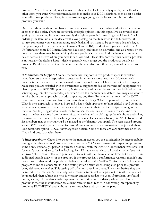products. Many dealers only stock items that they feel will sell relatively quickly, but will order other items you want. One recommendation is to make your DCC selections, then select a dealer who sells those products. Doing it in reverse may get you great dealer support, but not the products you want.

One other thought about purchases from dealers – it has to do with what to do if the item is not in stock at the dealer. There are obviously multiple opinions on this topic. I've discovered that getting on the waiting list is not necessarily the right approach for me. In general I avoid 'backordering' the item, unless the dealer will allow passing on the item when it finally arrives. Of course, sometimes you want something really bad, and you want to be early on a dealer's list, so that you can get the item as soon as it arrives. This is OK! Just do it with you eyes wide open! Unfortunately some DCC manufacturers have long lead times on deliveries, and as a result, by the time it arrives there may be something else you prefer. Or you may find the item at some other dealer before it arrives where you have it back-ordered. Please also note that this delivery problem is not usually the dealer's issue – dealers generally want to get you the product as quickly as possible. But if they can not get the item from the manufacturer, then they cannot deliver it to you.

8) **Manufacturer Support**: Overall, manufacturer support in this product space is excellent - manufacturers are very responsive to customer inquiries, support needs, etc. However each manufacturer does have different warranties and support models. Check this out before buying. Make sure you are satisfied with the warranties & support models of the vendors' equipment you plan to purchase BEFORE purchasing. Make sure you ask about the support available when you screw up (e.g., smoke the decoder) and when there is a manufacturer defect. You may also want to inquire about their approach to product updates/bug fixes. Remember that much of the DCC environment is software, and like all software there are bugs. What happens when you find one? What is their approach to 'critical' bugs and what is their approach to 'non-critical bugs'? As noted with decoders, manufacturers often evolve the software in their products (slipstreaming in the trade vernacular) -- again don't stock for future use, instead buy when ready to use. One other note -- the best support from the manufacturer is obtained by picking up the telephone and calling the manufacturer directly. Not whining on some e'mail list, calling a friend, etc. While friends and list members may assist you, you'd be amazed at the blatantly wrong info I've seen passed around about DCC over the years in these forums. Manufacturers are customer-friendly -- just call them. One additional option is DCC knowledgeable dealers. Some of these are very customer oriented. If you find one, stick with them.

9) **Interoperability**: Check into whether the manufacturers you are considering do interoperability testing with other vendors' products. Some use the NMRA Conformance & Inspection program, some don't. Personally I prefer to purchase products with the NMRA Conformance Warrants, but for me it's not mandatory. It's like looking for a UL label on an electrical product, other 'seals of approval' etc. -- most folks have purchased products without them at some time, but they offer an additional outside analysis of the product. If the product has a conformance warrant, then it's one more plus for that vendor's product. I believe the value of the NMRA Conformance & Inspection program to me as a consumer is in the testing which occurs when completed prior to a product being delivered to market. This testing will often uncover interoperability issues, before they are delivered to the market. Alternatively some manufacturers deliver a product to market which can be upgraded, then submit the item for testing, and issue updates to users if problems are found during testing. This is also a viable approach as well. What is mandatory when I purchase a product is that the manufacturer has a demonstrated track record in addressing interoperability problems PROMPTLY, and without major headaches and costs on my part.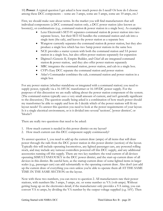10) **Power**: A typical question I get asked is how much power do I need? Or how do I choose among these DCC components -- some are 3 amps, some are 5 amps, some are 10 amps, etc.?

First, we should make sure about terms. In the market you will find manufacturers that sell individual components (a DCC command station only, a DCC power station (also known as booster)), or combinations (e.g., command station & power station in a single box). As examples:

- Lenz Electronik's SET-01 separates command station & power station into two separate boxes, but their SET-02 bundles the command station and cab into a single item (the cab), and leaves the power station as a separate box
- Wangrow currently separates the command station & power station, but they also produce a single box which has two 5amp power stations in the same box
- NCE provides a starter system with both the command station and 5A power station in a single box, but also offers power stations separately for expansion
- Digitrax's Genesis II, Empire Builder, and Chief all are integrated command station & power station, and they also offer power stations separately
- MRC integrates the command station, power station, and cab in a single box.
- CVP's Easy DCC separate the command station and power station
- Atlas's Commander combines the cab, command station and power station in a single box

For any power station (whether standalone or integrated with a command station) you need to supply power, typically via a 16-18VAC transformer or 16-18VDC power supply. For the purposes of this discussion we are really talking about the power station component of the system. (The command station typically uses a very small amount of current, and isn't generally significant to the discussion.) The question usually being asked is a combination of how much power should my transformer be able to supply and how do I decide which of the power stations will fit my layout needs? To answer this question you need to look at the power requirements of your layout. Is it a single electrical environment, or is it divided into several 'sections', 'power districts', or 'blocks'?

There are really two questions that need to be asked:

- 1. How much current is needed in this power district on my layout?
- 2. How much current can this DCC component supply continuously?

To answer question 1, you need to add up the current draw (amps) of all items that will draw power through the rails from the DCC power station in this power district (section) of the layout. Typically this will include operating locomotives, any lighted passenger cars, any powered rolling stock, and may include any turnout controllers powered off this DCC supply, and any additional accessories running off this supply. There are two key numbers: the total current of all devices operating SIMULTANEOUSLY in the DCC power district, and the start-up current draw of all devices in this district. Be careful here, as the startup current draw of some lighted items in larger scales (e.g., passenger cars) can add substantially to the operating current draw. Also don't just add up the current draw of everything you own unless you're able to operate them all AT THE SAME TIME IN THE SAME SECTION on the layout.

Now with these two numbers, you can move to question 2. All manufacturers rate their power stations, with numbers like 3 amps, 5 amps, etc. or some number xx VA (volt-amps). Without getting hung up on the electronics detail, if the manufacturer only provides a VA rating, you can convert VA to amps, by dividing the VA number by the output voltage supplied (e.g. 16V). Then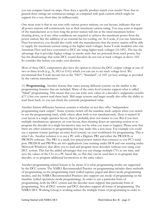you can compare based on amps. How does a specific product match your needs? Note that in general these ratings are continuous ratings, as compared with peak current which might be support for a very short time (in milliseconds).

One more note is that in our tests with various power stations, on our layouts, indicates that not all power stations will continuously run at their maximum current rating. You may want to inquire of the manufacturer as to how long the power station will run at the rated maximum before shutting down, or if any other conditions are required to achieve the maximum power from the power station, like the addition of an external fan for cooling, etc. In S scale, if you run American Flyer locomotives, you should also verify with the manufacturer that the power station will be able to supply the maximum current rating at the higher track voltages. Some S scale modelers who run American Flyer and have converted to DCC are using higher track voltages (16-18V). The has the advantage that it provides higher voltage to smoke units that are powered from track power, but has the disadvantage that some DCC sound decoders do not run at track voltages at above 16V. So consider this before you make your decision.

Most of these DCC components also have the option to choose the DCC output voltage at one of two or three levels (e.g., N, HO or O-G) which you can use to set track voltage level. We recommend that S scale layouts run at the "HO", "Standard", or 16V (or less) settings as provided by the various manufacturers.

11) **Programming.** Another feature that varies among different systems on the market is the programming features that are included. Many of the entry-level systems support what is called "blind" programming. This means that you can write now values in a decoder's *configuration variables (CVs)* but you cannot read them back. Mid range systems and larger usually also offer the ability to read them back, so you can check the currently programmed value.

Another feature difference between systems is whether or not they offer "independent programming track output". Some systems switch off the mainline track outputs when you switch to use the programming track, while others allow both to run simultaneously. Does it matter? If your layout is a single operator layout, then it probably does not matter to you. But if you have multiple simultaneous operators on your layout, then shutting down an operating session to reprogram the decoder in a single locomotive may not be what you want to happen. Please note that there are other solutions to programming that may make this a non-issue. For example you could use a separate system (perhaps an entry level system) on your workbench for programming. This is what I do. Another solution is to use a PC with a Digitrax PR1 and either the PR1DOS or PR1WIN software. The PR1 is a small, low priced power station that connects to you PC's serial port. PR1DOS and PR1Win are two applications (one running under DOS and one running under Microsoft Windows) that allow you to read and program most decoders without ever using your DCC system. This has the added advantages that you can change multiple CVs at one time, and save the values of the CVs to a PC based file, so that they can be used later to re-program that decoder, or to program additional locomotives to the same values.

Another programming related feature to be aware of is what programming modes are supported by the DCC system. The NMRA Recommended Practice on programming includes three methods of programming on the programming track (called register, paged and direct mode programming modes), and the NMRA Recommended Practices also support one mode of programming on the mainline (called operations mode programming). In order to use a particular form of programming, both the DCC system and the decoder must support that particular form of programming. Not all DCC systems and DCC decoders support all forms of programming. The NMRA DCC Working Group is working reduce the multiple forms of programming in order to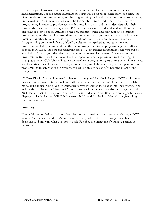reduce the problems associated with so many programming forms and multiple vendor implementations. For the future it appears the focus will be on all decoders fully supporting the direct mode form of programming on the programming track and operations mode programming on the mainline. Command stations into the foreseeable future need to support all modes of programming in order to provide users with the ability to mix and match decoders with their system. My advice when buying a new DCC decoder is to look for decoders that fully support the direct mode form of programming on the programming track, and fully support operations programming on the mainline. And then try to standardize on your use of these for all decoders possible. Another bit of advice is to give operations mode programming (also known as "programming on the main") a try. You'll be pleasantly surprised at how easy it makes programming. I still recommend that the locomotive go first to the programming track after a decoder is installed, since the programming track is a low current environment, and you will be less likely to "toast" your decoder if you have made an installation error. While it is on the programming track, set the address. Then use operations mode programming for setting or changing all other CVs. This will reduce the need for a programming track to a very minimal need, and for certain CVs like sound volume, sound effects, and lighting effects, by use operations mode programming to set/change their values, you will be able to see and/or hear the effect of the change immediately.

12) **Fast Clock.** Are you interested in having an integrated fast clock for your DCC environment? For some time manufacturers such as GML Enterprises have made fast clock systems available for model railroad use. Some DCC manufacturers have integrated fast clocks into their systems, and include the display of the "fast clock" time on some of the higher end cabs. Both Digitrax and NCE include fast clock support in certain of their products. In addition there are larger fast clock displays available for the NCE Cab Bus (from NCE) and for the LocoNet cab bus (from Logic Rail Technologies).

#### **Summary**

I hope this section helps you think about features you need or want as you are selecting a DCC system. As I indicated earlier, it's not rocket science, just prudent purchasing research and decisions, and knowing what questions to ask. Feel free to contact me if you have particular questions...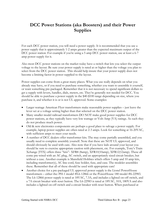# **DCC Power Stations (aka Boosters) and their Power Supplies**

For each DCC power station, you will need a power supply. It is recommended that you use a power supply that is approximately 1-2 amps greater than the expected maximum output of the DCC power station. For example if you're using a 5 amp DCC power station, use at least a 6-7 amp power supply for it.

Also most DCC power stations on the market today have a switch that lets you select the output voltage to the layout. Be sure your power supply is rated at or higher than the voltage you plan to select from the DCC power station. This should help insure that your power supply does not become a limiting factor in power supplied to the layout.

Power supplies can come from a great many places. What you use really depends on what you already may have, or if you need to purchase something, whether you want to assemble it yourself, or want something pre-packaged. Remember that it is not necessary to spend significant dollars to get a supply with levers, handles, dials, meters, etc. They're generally not needed for DCC. You should be able to purchase a power supply in the \$40-\$100 range depending on size, where you purchase it, and whether it is or is not UL approved. Some examples:

- Larger wattage American Flyer transformers make reasonable power supplies just leave the lever set at a voltage setting higher than that selected on the DCC power station.
- Many smaller model railroad transformers DO NOT make good power supplies for DCC power stations, as they typically have very low wattage or Volt-Amp (VA) ratings. As such they do not produce much power.
- Old & new electronics components are perhaps a good place to salvage a power supply. For example, laptop power supplies are often rated at 2-3 amps. Look for something at 16-20VAC, with sufficient amps to meet your needs.
- A number of DCC dealers offer transformer kits. The may come partially assembled, and you usually need to complete assembly yourself. Note that these are NOT UL approved, and should obviously be used with care. Also note that if you have kids around your layout you should be sure to exercise appropriate caution with placement, etc. For example, Tony's Train Xchange (TTX) offers three "kits"- XFR8 (8amp), XFR10(10amp), XFR12(12amp). These all come pre-wired with an AC plug, AC switch, and an appropriately sized circuit breaker, but without a case. Another example is Mansfield Hobbies which offers 5 amp and 10 amp kits, including transformer(s), AC line cord, fuse holder, fuse, and case. The modeler assembles these. Remember that all of these should be used with appropriate care!
- Another choice for a pre-packaged UL approved power supply is the Lionel PowerHouse transformers – either the: PH-1 model #L6-12866 or the PowerHouse 180 model #6-22983. The L6-12866 power supply is rated at 18VAC, 7.3A, and includes a lighted on-off switch, and a 7A circuit breaker with reset button. The L6-22983 is rated at 18VAC, 10A, 180VA and also includes a lighted on-off switch and a circuit breaker with reset button. When purchased at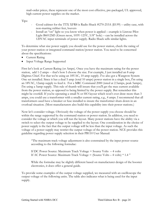mail-order prices, these represent one of the most cost effective, pre-packaged, UL approved, high current power supplies on the market.

Tips:

- Good cabinet for the TTX XFR8 is Radio Shack #270-253A (\$5.99) utility case, with non-marring rubber feet, louvers
- Install an "on" light so you know when power is applied example is Linrose Pilot Light B6012M5 (Green neon, 105V-125V, 3/8" hole) – can be installed across the 120VAC input terminals of power supply. Radio Shack sells similar lights.

To determine what size power supply you should use for the power station, check the rating of your power station or integrated command station/power station. You need to be concerned about the specifications:

- Current Rating
- Input Voltage Range Supported

First let's look at Current Rating (or Amps). Once you have the maximum rating for the power station, add 1-2 amps -- that's how I choose the size. For example, I just installed an 8 amp Digitrax Chief. For that we're using an 18VAC, 10 amp supply. I've also got a Wangrow System One set installed. Since it has a dual 5 amp (total 10 amps) power station in a single box, I'm using an 18VAC, 12amp supply to feed it. For a MRC Command 2000 (rated at 2.5amps, peak 5amps), I'm using a 5amp supply. This rule of thumb will insure that you'll get the max current available from the power station, as opposed to being limited by the power supply. But remember this might be overkill. If you're operating a small N or HO layout which won't ever draw more than 3 amps, you could use a transformer with a smaller current rating, e.g., 4 amps. I recommend that all transformers used have a breaker or fuse installed to insure the transformer shuts down in an overload situation. (Most manufacturers also build this capability into their power stations.)

Now let's consider voltage. Obviously the voltage of the power supply you choose should be within the range supported by the command station or power station. In addition, you need to consider the voltage at which you will run the layout. Many power stations have the ability via a switch to select the output voltage to be supplied to the layout. One consideration in the choice of power supply is the fact that the output voltage will be less than the input voltage. As such the voltage of a power supply may restrict the output voltage of the power station. NCE provides this guideline regarding power supply selection in their PB110 User Manual:

"The maximum track voltage adjustment is also constrained by the input power source according to the following formulae:

If DC Power Source: Maximum Track Voltage = Source Volts – 4 volts If AC Power Source: Maximum Track Voltage  $=$  (Source Volts  $-$  4 volts)  $*$  1.4 "

While the formulae may be slightly different based on manufacturer design of the booster electronics, it does offer a general guide.

To provide some examples of the output voltage supplied, we measured with an oscilloscope the output voltage of the following units. The table also indicates what is being used for the input supply.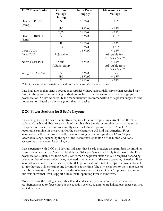| <b>DCC Power Station</b>  | Output<br>Voltage<br>Setting | <b>Input Power</b><br>Supply | <b>Measured Output</b><br>Voltage  |
|---------------------------|------------------------------|------------------------------|------------------------------------|
| Digitrax DCS100<br>(8amp) | N                            | 18 VAC                       | $\sim 11V$                         |
|                           | HO                           | 18 VAC                       | $\sim 13V$                         |
|                           | O/G                          | 18 VAC                       | $\sim 18V$                         |
| Digitrax DB100+<br>(8amp) | N                            | 18 VAC                       | $\sim 11.5 \text{V}$               |
|                           | HO                           | 18 VAC                       | $\sim 13V$                         |
|                           | O/G                          | 18 VAC                       | $\sim 17.5V$                       |
| Lenz LV100                |                              | 18 VAC                       | $\sim 15V$                         |
| Lenz LV101                | Adjustable                   |                              | Adjustable from<br>11.5V to 22V ** |
| North Coast PB110         | Scale                        | 18 VAC                       | $\sim 15V$                         |
|                           | Adjust setting               |                              | Adjustable from<br>11.5V to 22V ** |
| Wangrow Dual 5amp         | N                            | 18 VAC                       | $\sim 9V$                          |
|                           | HO                           | 18 VAC                       | $\sim 15V$                         |
|                           | O                            | 18 VAC                       | $\sim 19V$                         |

\*\* Not measured, information based on manufacturer's documentation.

One final note is that using a source that supplies voltage substantially higher than required may result in the power station having to shed excess heat, or in the worst case may damage your power station. So review carefully the manufacturer's recommendation for a power supply for the power station, based on the voltage out that you desire.

### **DCC Power Stations for S Scale Layouts**

As you might expect S scale locomotives require a little more operating current than the small scales such as N and HO. An easy rule of thumb is that S scale locomotives with a drive system composed of modern can motors and flywheels will draw approximately 0.5A to 1.0A per locomotive running on the layout. On the other hand you will find that American Flyer locomotives will require substantially more operating current – typically in 1A to 3A per locomotive range, depending the age of the locomotive, condition of the motor, additional accessories on the loco like smoke, etc.

Our experience with DCC on S layouts indicates that S scale modelers using modern locomotives from companies such as American Models and S-Helper Service will likely find most of the DCC power stations suitable for their needs. More than one power station may be required depending of the number of locomotives being operated simultaneously. Modelers operating American Flyer locomotives would be better served with DCC power stations rated at 8amps or above, unless of course they are only operating one locomotive at the time. The one exception to the 8 amp rule of thumb for American Flyer operators is the Wangrow System One Dual 5 Amp power station – our tests show that it will support a layout with operating Flyer locomotives.

Modelers using the rolling stock, other than decoder-equipped locomotives, that has current requirements need to figure these in the equation as well. Examples are lighted passenger cars or a lighted caboose.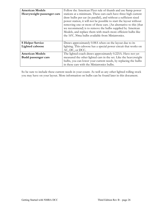| <b>American Models</b>     | Follow the American Flyer rule of thumb and use 8amp power         |  |  |
|----------------------------|--------------------------------------------------------------------|--|--|
| Heavyweight passenger cars | stations at a minimum. These cars each have three high current     |  |  |
|                            | draw bulbs per car (in parallel), and without a sufficient sized   |  |  |
|                            | power station, it will not be possible to start the layout without |  |  |
|                            | removing one or more of these cars. (An alternative to this (that  |  |  |
|                            | we recommend) is to remove the bulbs supplied by American          |  |  |
|                            | Models, and replace them with much more efficient bulbs like       |  |  |
|                            | the 16V, 30ma bulbs available from Miniatronics.                   |  |  |
|                            |                                                                    |  |  |
| <b>S</b> Helper Service    | Draws approximately 0.08A when on the layout due to its            |  |  |
| Lighted caboose            | lighting. This caboose has a special power circuit that works on   |  |  |
|                            | AC, DC, or DCC.                                                    |  |  |
| <b>American Models</b>     | The lighted coach draws approximately 0.225A. Have not yet         |  |  |
| Budd passenger cars        | measured the other lighted cars in the set. Like the heavyweight   |  |  |
|                            | bulbs, you can lower your current needs, by replacing the bulbs    |  |  |
|                            | in these cars with the Miniatronics bulbs.                         |  |  |

So be sure to include these current needs in your count. As well as any other lighted rolling stock you may have on your layout. More information on bulbs can be found later in this document.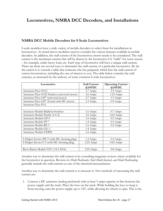# **Locomotives, NMRA DCC Decoders, and Installations**

### **NMRA DCC Mobile Decoders for S Scale Locomotives**

S scale modelers have a wide variety of mobile decoders to select from for installations in locomotives. As noted above modelers need to consider the various features available in mobile decoders. In addition, the stall current of the locomotives motor needs to be considered. The stall current is the maximum current that will be drawn by the locomotive if it "stalls" for some reason – for example, under heavy load, etc. Each type of locomotive will have a unique stall current. There are there are several ways to determine the stall current of a particular locomotive. By far the easiest is to consult a table that someone else has prepared, which lists the stall current of various locomotives, including the one of interest to you. The table below contains the stall currents, as measured by the authors, of some common S scale locomotives.

| Locomotive                                    | <b>Stall Current</b> | <b>Operating Current</b> |  |
|-----------------------------------------------|----------------------|--------------------------|--|
|                                               | @14VDC               | @14VDC                   |  |
| American Flyer #312                           | 3.7 Amps             | $2.5$ Amps               |  |
| American Flyer #322 Hudson (universal motor)  | 2.6 Amps             | $1.25$ Amps              |  |
| American Flyer GP7 (universal motor)          | 2.7 Amps             | 1.9 Amps                 |  |
| American Flyer GP7 (Lionel with DC motor)     | 2.3 Amps             | $0.9 \text{ Amps}$       |  |
| American Flyer PA1                            |                      |                          |  |
|                                               |                      |                          |  |
| American Models Baldwin Switcher              | 1.6 Amps             | $0.7$ Amps               |  |
| American Models Pacific (4-6-2)               | 2.6 Amps             | $0.65$ Amps              |  |
| American Models GP-9                          | 1.6 Amps             | $0.5$ Amps               |  |
| American Models FP-7                          | 1.4 Amps             | $0.5$ Amps               |  |
| American Models RS-3                          | 1.6 Amps             | $0.5$ Amps               |  |
| American Models GG-1                          | 1.4 Amps             |                          |  |
| American Models F40PH                         | 1.6 Amps             |                          |  |
|                                               |                      |                          |  |
| S Helper Service SW-9 (with DC shorting plug) | 1.2 Amps             | $0.4$ Amps               |  |
| S Helper Service F-3 (with DC shorting plug)  | $2.25$ Amps          | $0.65$ Amps              |  |
|                                               |                      |                          |  |
| River Raisin Models NYC 2-8-2 H10a            | $2.25$ Amps          | $0.8$ Amps               |  |

Another way to determine the stall current is by consulting magazine reviews where available for the locomotive in question. Reviews in *Model Railroader, Rail Model Journal, and Model Railroading* generally include the stall currents as one of the electrical measurements.

Another way to determine the stall current is to measure it. Two methods of measuring the stall current are:

1. Connect a DC ammeter (analog preferred) with at least 5 amps capacity in line between the power supply and the track. Place the loco on the track. While holding the loco to keep it from moving, turn the power supply up to 14V, while allowing he wheels to spin. This is the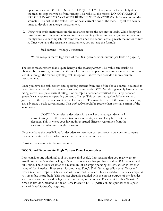operating current. DO THIS NEXT STEP QUICKLY. Now press the loco solidly down on the track to stop the wheels from turning. This will stall the motor. DO NOT KEEP IT PRESSED DOWN OR YOU WITH BURN UP THE MOTOR! Watch the reading on the ammeter. This will be the stall current or peak current draw of the loco. Repeat this several times to develop an average measurement.

2. Using your multi-meter measure the resistance across the two motor leads. While doing this turn the motor to obtain the lowest resistance reading. On a can motor, you can usually turn the flywheels to accomplish this same effect since you cannot actually reach the motor to turn it. Once you have the resistance measurement, you can use the formula:

Stall current  $=$  voltage  $/$  resistance

Where *voltage* is the voltage level of the DCC power station output (see table on page 15)

The other measurement that is quite handy is the *operating current.* This value can usually be obtained by measuring the amps while your locomotive is operating at close to top speed on your layout, although the "wheel spinning test" in option 1 above may provide a more accurate measurement.

Once you have the stall current and operating current from one of the above sources, you need to determine what decoders are available to meet your needs. DCC Decoders generally have a current rating, as well as a peak current rating. For example a decoder advertised as a 1amp decoder generally can support an operating current of 1amp. This current rating should be equal to or greater than the operating current of the locomotive. The manufacturer of the same decoder may also advertise a peak current rating. This *peak value* should be greater than the stall current of the locomotive.

 NOTE: If you select a decoder with a smaller operating and/or peak current rating than the locomotive measurements, you will likely burn out the decoder. This is where your having investigated different warranties from the various manufacturers might be useful!

Once you have the possibilities for decoders to meet you current needs, now you can compare their other features to see which ones meet your other requirements.

Consider the example in the next section.

#### **DCC Sound Decoders for High Current Draw Locomotives**

Let's consider one additional tool you might find useful. Let's assume that you really want to install one of the Soundtraxx Digital Sound decoders so that you have both a DCC decoder and full sound. These units are rated at a maximum of 1.5amps operating current, which is less than many of the American Flyer steam locomotives. Tony's Train Xchange sells a small "booster" circuit rated at 4 amps, which you use with a normal decoder. This is available either as a simple kit you assemble or pre-built. This booster circuit is coupled with the motor outputs of the decoder and track power to provide a higher current rating to the motor. The circuit for this "booster" circuit is also documented in one of Larry Puckett's DCC Update columns published in a past issue of *Model Railroading* magazine.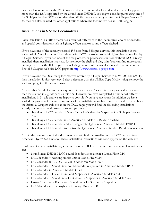For diesel locomotives with EMD power and where you need a DCC decoder that will support more than the 1.5A supported by the SoundTraxx DSD150, you might consider purchasing one of the S Helper Service DCC sound decoders. While these were designed for the S Helper Service F-3s, they can also be used for other applications where the locomotive has an EMD engine.

#### **Installations in S Scale Locomotives**

Each installation is a little different as a result of difference in the locomotive, choice of decoder, and special consideration such as lighting effects and/or sound effects desired.

If you have one of the recently released F-3 sets from S Helper Service, this installation is the easiest of all. Your loco could be ordered with DCC controlled sound & lights already installed by S Helper Service. If you had one of the early orders, or purchased a version without DCC already installed, then installation is a snap. Just remove the shell and plug it in! You can find more about Getting Started with DCC in your F3 including pictures of the installation and other tips on the Bristol S Gaugers web site DCC pages at: http://www.bristol-s-gauge.com.

If you have one the DCC ready locomotives offered by S Helper Service (SW-9/1200 and SW-1), then installation is also very easy. Select a decoder with the NMRA Type M (2x4) plug, remove the shell and plug it in the socket provided.

All the other S scale locomotives require a bit more work. As such it is not practical to document each installation in a guide such as this one. However we have completed a number of different installations in S scale and we are happy to consult if you have questions. In addition we have started the process of documenting some of the installations we have done in S scale. If you check the Bristol S Gaugers web site at on the DCC pages you will find the following installations already documented with instructions and pictures:

- Installing a DCC decoder + SoundTraxx DSX decoder & speaker in a S Helper Service SW-1
- Installing a DCC decoder in an American Models S12 Baldwin switcher
- Installing a DCC decoder and working strobe lights in an American Models F40PH
- Installing a DCC decoder to control the lights in an American Models Budd passenger car

Also in the next section of this document you will find the installation of a DCC decoder in an American Flyer #322 Hudson. These installation instructions will soon appear on the web site.

In addition to these installations, some of the other DCC installations we have complete in S scale are:

- SoundTraxx DSD150 DCC sound decoder & speaker in a Lionel Flyer GP7
- DCC decoder + working smoke unit in Lionel Flyer GP7
- DCC decoder (NCE DA102EU) in American Model RS-3
- DCC decoder + SoundTraxx sound decoder & speaker in American Models RS-3
- DCC decoder in American Models GG-1
- DCC decoder + Dallee sound unit & speaker in American Models GG1
- DCC decoder + SoundTraxx DSX decoder & speaker in American Models 4-6-2
- Crown/Port Lines Reefer with SoundTraxx DSX decoder & speaker
- DCC decoder in a Pennsylvania Heritage Models RDC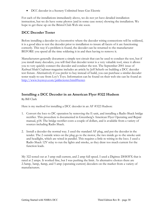• DCC decoder in a Scenery Unlimited brass Gas Electric

For each of the installations immediately above, we do not yet have detailed installation instruction, but we do have some photos (and in some case notes) showing the installation. We hope to get these up on the Bristol Club Web site soon.

### **DCC Decoder Tester**

Before installing a decoder in a locomotive where the decoder wiring connections will be soldered, it is a good idea to test the decoder prior to installation to insure all facets of it are functioning correctly. This way if a problem is found, the decoder can be returned to the manufacturer BEFORE you spend all the time soldering it in and then having to remove it.

Manufacturers generally document a simple test circuit that can be used to conduct the test, but if you install many decoders, you will find that decoder tester is a very valuable tool, since it allows you to very quickly connect the decoder and conduct the test. The September 2001 issue of *Railroad Model Craftsman* magazine includes an article by Jeff Scherb on building a DCC decoder test fixture. Alternatively if you prefer to buy instead of build, you can purchase a similar decoder tester ready-to-use from Loy's Toys. Information can be found on their web site can be found at: http://www.loystoys.com/pddectester.html#tester.

### **Installing a DCC Decoder in an American Flyer #322 Hudson**

By Bill Clark

Here is my method for installing a DCC decoder in an AF #322 Hudson:

- 1. Convert the loco to DC operation by removing the E-unit, and installing a Radio Shack bridge rectifier. This procedure is documented in Greenberg's American Flyer Operating and Repair manual, p18. The bridge rectifier costs a couple of dollars, and is available from a variety of sources including Radio Shack.
- 2. Install a decoder the normal way. I used the standard AF plug, and put the decoder in the tender. The 2 outside wires on the plug go to the motor, the two inside go to the smoke unit and headlight, which are wired in parallel. This requires a little re-wiring in the loco. I used a Radio Shack 12V relay to run the lights and smoke, as they draw too much current for the function leads.

My 322 tested out at 3 amp stall current, and 2 amp full speed. I used a Digitrax DH83FX that is rated at 2 amps. It worked fine, but I was pushing the limit. As alternative choices there are 2.5amp, 3amp, 4amp, and 5 amp (operating current) decoders on the market from a variety of manufacturers.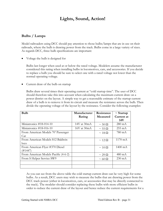### **Lights, Sound, Action!**

### **Bulbs / Lamps**

Model railroaders using DCC should pay attention to those bulbs/lamps that are in use on their railroads, where the bulb is drawing power from the track. Bulbs come in a large variety of sizes. As regards DCC, three bulb specifications are important:

Voltage the bulb is designed for

Bulbs last longer when used at or below the rated voltage. Modelers assume the manufacturer considered this rating when installing bulbs in locomotives, cars, and accessories. If you decide to replace a bulb you should be sure to select one with a rated voltage not lower than the normal operating voltage.

• Current draw of the bulb on startup

Bulbs draw several times their operating current at "cold startup time". The user of DCC should therefore take this into account when calculating the maximum current draw on a power district on the layout. A simple way to get a reasonable estimate of the startup current draw of a bulb is to remove it from its circuit and measure the resistance across the bulb. Then divide the operating voltage of the layout by the resistance. Consider the following examples:

| <b>Bulb</b>                          | Manufacturer    | Resistance         | $\sim$ Startup    |
|--------------------------------------|-----------------|--------------------|-------------------|
|                                      | Rating          | <b>Measured</b>    | Current at        |
|                                      |                 |                    | 14V               |
| Miniatronics #18-014-10              | 14V at 30mA     | $\sim$ 50 $\Omega$ | $280 \text{ mA}$  |
| Miniatronics #18-016-10              | $16V$ at $30mA$ | $\sim$ 55 $\Omega$ | $255 \text{ mA}$  |
| From American Models 70' Passenger   |                 | $\sim$ 18 $\Omega$ | $780 \text{ mA}$  |
| Car                                  |                 |                    |                   |
| From American Models S12 Baldwin     |                 | $\sim$ 12 $\Omega$ | 1170 mA           |
| loco                                 |                 |                    |                   |
| From American Flyer #370 Diesel      |                 | $\sim 10 \Omega$   | $1400 \text{ mA}$ |
| (#1447)                              |                 |                    |                   |
| From American Models Pacific (4-6-2) |                 | $\sim$ 29 $\Omega$ | $480 \text{ mA}$  |
| From S Helper Service SW9            |                 | $\sim 60 \Omega$   | $230 \text{ mA}$  |
|                                      |                 |                    |                   |
|                                      |                 |                    |                   |

As you can see from the above table the cold startup current draw can be very high for some bulbs. As a result, DCC users may wish to measure the bulbs that are drawing power from the DCC track power (either in locomotives, cars, or accessories that may be directly connected to the track). The modeler should consider replacing these bulbs with more efficient bulbs in order to reduce the current draw of the layout and hence reduce the current requirements for a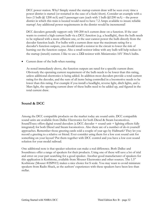DCC power station. Why? Simply stated the startup current draw will be seen every time a power district is started (or restarted in the case of a fault/short). Consider an example with a loco (1 bulb  $\omega$ ) 1200 mA) and 5 passenger cars (each with 1 bulb  $\omega$ 1200 mA) – the power district in which this train is located would need to have 7.2 Amps available to insure reliable startup! Any additional power requirements in the district would be incremental!

DCC decoders generally support only 100-200 mA current draw on a function. If the user wants to control a high current bulb via a DCC function (e.g. a headlight), then the bulb needs to be replaced with a more efficient one, or the user cannot power the bulb directly from the decoder function leads. For bulbs with a current draw near the maximum rating for a decoder's function outputs, you should install a resistor in the circuit to lower the risk of burning out the function output. Also a small resistor inline with any bulb will help reduce in the startup (inrush) current. I like to use a  $22\Omega$  resistor with Miniatronics 16V 30mA bulbs.

• Current draw of the bulb when running

As noted immediately above, the function outputs are rated for a specific current draw. Obviously the operating current requirement of the bulb needs to be lower than this rating, unless additional electronics is being added. In addition most decoders provide a total current rating for the decoder, and the sum of all items being controlled in a locomotive needs to be lower than this rating. For example if you install a headlight, reverse light, ditch lights, and a Mars light, the operating current draw of these bulbs need to be added up, and figured in the total current draw.

#### **Sound & DCC**

Among the DCC compatible products on the market today are sound units. DCC compatible sound units are available from Dallee Electronics for both Diesel & Steam locomotives. SoundTraxx offers digital sound decoders (a DCC decoder + sound unit + lighting effects fully integrated) for both Diesel and Steam locomotives. Also there are of a number of do-it-yourself approaches. Remember those greeting cards sold a couple of year ago by Hallmark? They let you record a greeting to a relative or friend. Ever consider using them for a low cost sound unit for something on your layout? Put them together with DCC control and you have a low cost sound solution for your model railroad.

One additional note is that speaker selection can make a real difference. Both Dallee and Soundtraxx offer a range of speakers for their products. Using one of these will save a lot of trial and error on your part searching for a good speaker. Another good manufacturer of speakers for this application is Korbitone, available from Mouser Electronics and other sources. The 1.5" Korbitone (Mouser #2SP015) makes a nice choice for S scale. You may want to avoid miniature speakers from Radio Shack, as the authors' experiences with these speakers have been less than stellar.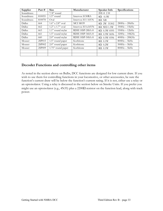| Supplier   | Part $#$ | <b>Size</b>            | Manufacturer      | Speaker Info        | Specifications  |
|------------|----------|------------------------|-------------------|---------------------|-----------------|
| Soundtraxx |          | $7/8$ " round          |                   | 20E-8 2 H           |                 |
| Soundtraxx | 810055   | $1.5$ " round          | Intervox S150RA   | $8\Omega$ 0.1W      |                 |
| Soundtraxx | 810078   | Oval                   | Intervox S11-16VN | $8\Omega$ XB        |                 |
| Dallee     | 664      | $1.6$ " x $2.8$ " oval | <b>MCI M039</b>   | 8Ω 2W 55302         | $280Hz - 20kHz$ |
| Dallee     | 662      | $1.2$ " x $1.7$ " oval | Intervox S11x16VN | $8\Omega$ WD 1.5W   | $350Hz - 15kHz$ |
| Dallee     | 663      | 1.1" round mylar       | RDIE HSP-28SA-8   | $8\Omega$ 0.3W 0595 | $550Hz - 12kHz$ |
| Dallee     | 661      | 1.5" round mylar       | RDIE HSP-36SA-8   | $8\Omega$ 0.5W 0696 | $320Hz - 10KHz$ |
| Dallee     | 660      | 2.0" round mylar       | RDIE HSP-50SA-8   | $8\Omega$ 0.5W 0596 | $400Hz - 20KHz$ |
| Mouser     | 2SP015   | 1.5" round paper       | Korbitone         | $8\Omega$ 0.1W      | $800Hz - 5kHz$  |
| Mouser     | 2SP002   | $2.0$ " round paper    | Korbitone         | $8\Omega$ 0.2W      | $500Hz - 5kHz$  |
| Mouser     | 2SP009   | 1.75" round paper      | Korbitone         | $8\Omega$ 0.1W      | $800Hz - 5kHz$  |
|            |          |                        |                   |                     |                 |
|            |          |                        |                   |                     |                 |

### **Decoder Functions and controlling other items**

As noted in the section above on Bulbs, DCC functions are designed for low current draw. If you wish to use them for controlling functions in your locomotive, or other accessories, be sure the function's current draw will be below the function's current rating. If it is not, either use a relay or an optoisolator. Using a relay is discussed in the section below on Smoke Units. If you prefer you might use an optoisolator (e.g., 4N35) plus a 2200 $\Omega$  resistor on the function lead, along with track power.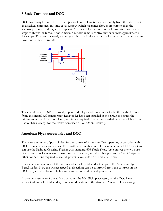### **S Scale Turnouts and DCC**

DCC Accessory Decoders offer the option of controlling turnouts remotely from the cab or from an attached computer. In some cases turnout switch machines draw more current than the accessory decoder is designed to support. American Flyer remote control turnouts draw over 3 amps to throw the turnout, and American Models remote control turnouts draw approximately 1.25 amps. To meet this need, we designed this small relay circuit to allow an accessory decoder to drive one of these turnouts.



The circuit uses two SPST normally open reed relays, and takes power to the throw the turnout from an external AC transformer. Resistor R1 has been installed in the circuit to reduce the brightness of the AF turnout lamp, and is not required. Everything needed here is available from Radio Shack, except for the resistor (we used a 3W, 82ohm resistor).

#### **American Flyer Accessories and DCC**

There are a number of possibilities for the control of American Flyer operating accessories with DCC. In many cases you can use them with few modifications. For example, on a DCC layout you can use the Railroad Crossing Flasher with standard 696 Track Trips. Just connect the two posts of the flasher as follows – one post directly to one rail, and the other post to the Track Trips. No other connections required, since full power is available on the rail at all times.

In another example, one of the authors added a DCC decoder (1amp) to the American Flyer Barrel loader. Now the worker (speed & direction) can be controlled from the controls on the DCC cab, and the platform light can be turned on and off independently.

In another case, one of the authors wired up the Mail Pickup accessory on the DCC layout, without adding a DCC decoder, using a modification of the standard American Flyer wiring.